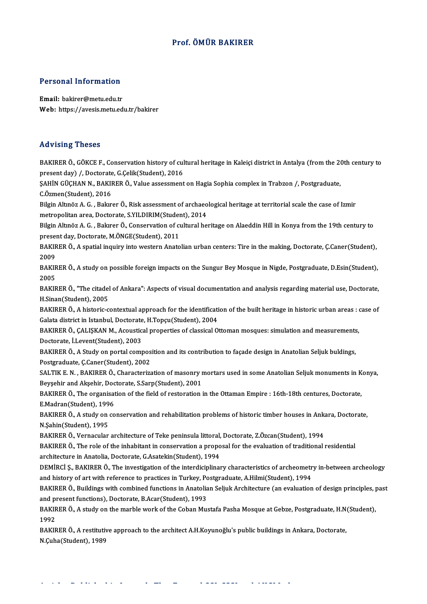## Prof. ÖMÜR BAKIRER

# Personal Information

Personal Information<br>Email: bakirer@metu.edu.tr<br>Web: https://avesis.metu.ed Email: bakirer@metu.edu.tr<br>Web: https://avesis.metu.edu.tr/bakirer

### Advising Theses

Advising Theses<br>BAKIRER Ö., GÖKCE F., Conservation history of cultural heritage in Kaleiçi district in Antalya (from the 20th century to<br>Present dav) / Destarate *C Celik(Student*), 2016 presented vising<br>PAKIRER Ö., GÖKCE F., Conservation history of cul<br>present day) /, Doctorate, G.Çelik(Student), 2016<br>SAHİN CÜCHAN N. RAKIRER Ö. Value assessment BAKIRER Ö., GÖKCE F., Conservation history of cultural heritage in Kaleiçi district in Antalya (from the 20<br>present day) /, Doctorate, G.Çelik(Student), 2016<br>ŞAHİN GÜÇHAN N., BAKIRER Ö., Value assessment on Hagia Sophia co

present day) /, Doctorate<br>ŞAHİN GÜÇHAN N., BAKII<br>C.Özmen(Student), 2016<br>Bilgin Altınöz A. C., Balgr SAHİN GÜÇHAN N., BAKIRER Ö., Value assessment on Hagia Sophia complex in Trabzon /, Postgraduate,<br>C.Özmen(Student), 2016<br>Bilgin Altınöz A. G. , Bakırer Ö., Risk assessment of archaeological heritage at territorial scale th

C.Özmen(Student), 2016<br>Bilgin Altınöz A. G. , Bakırer Ö., Risk assessment of archaeological heritage at territorial scale the case of Izmir metropolitan area, Doctorate, S.YILDIRIM(Student), 2014

Bilgin Altınöz A. G. , Bakırer Ö., Conservation of cultural heritage on Alaeddin Hill in Konya from the 19th century to present day, Doctorate, M.ÖNGE(Student), 2011 Bilgin Altınöz A. G. , Bakırer Ö., Conservation of cultural heritage on Alaeddin Hill in Konya from the 19th century to<br>present day, Doctorate, M.ÖNGE(Student), 2011<br>BAKIRER Ö., A spatial inquiry into western Anatolian urb

presei<br>BAKIF<br>2009<br>PAKIF BAKIRER Ö., A spatial inquiry into western Anatolian urban centers: Tire in the making, Doctorate, Ç.Caner(Student),<br>2009<br>BAKIRER Ö., A study on possible foreign impacts on the Sungur Bey Mosque in Nigde, Postgraduate, D.E

2009<br>BAKIRER Ö., A study on possible foreign impacts on the Sungur Bey Mosque in Nigde, Postgraduate, D.Esin(Student),<br>2005 BAKIRER Ö., A study on possible foreign impacts on the Sungur Bey Mosque in Nigde, Postgraduate, D.Esin(Student),<br>2005<br>BAKIRER Ö., "The citadel of Ankara": Aspects of visual documentation and analysis regarding material us

2005<br>BAKIRER Ö., "The citadel<br>H.Sinan(Student), 2005<br>BAKIBER Ö. A bistoris e BAKIRER Ö., "The citadel of Ankara": Aspects of visual documentation and analysis regarding material use, Doctorate,<br>H.Sinan(Student), 2005<br>BAKIRER Ö., A historic-contextual approach for the identification of the built her

H.Sinan(Student), 2005<br>BAKIRER Ö., A historic-contextual approach for the identificati<br>Galata district in Istanbul, Doctorate, H.Topçu(Student), 2004<br>RAKIRER Ö. GALISKAN M. Acquatical proportios of classical O BAKIRER Ö., A historic-contextual approach for the identification of the built heritage in historic urban areas : o<br>Galata district in Istanbul, Doctorate, H.Topçu(Student), 2004<br>BAKIRER Ö., ÇALIŞKAN M., Acoustical propert

Galata district in Istanbul, Doctorate, H.Topçu(Student), 2004<br>BAKIRER Ö., ÇALIŞKAN M., Acoustical properties of classical C<br>Doctorate, İ.Levent(Student), 2003 BAKIRER Ö., ÇALIŞKAN M., Acoustical properties of classical Ottoman mosques: simulation and measurements,<br>Doctorate, İ.Levent(Student), 2003<br>BAKIRER Ö., A Study on portal composition and its contribution to façade design i

BAKIRER Ö., A Study on portal composition and its contribution to façade design in Anatolian Seljuk buldings, BAKIRER Ö., A Study on portal composition and its contribution to façade design in Anatolian Seljuk buldings,<br>Postgraduate, Ç.Caner(Student), 2002<br>SALTIK E. N. , BAKIRER Ö., Characterization of masonry mortars used in some

Postgraduate, Ç.Caner(Student), 2002<br>SALTIK E. N. , BAKIRER Ö., Characterization of masonry r<br>Beyşehir and Akşehir, Doctorate, S.Sarp(Student), 2001<br>BAKIRER Ö. The organisation of the field of restaration i SALTIK E. N. , BAKIRER Ö., Characterization of masonry mortars used in some Anatolian Seljuk monuments in K<br>Beyşehir and Akşehir, Doctorate, S.Sarp(Student), 2001<br>BAKIRER Ö., The organisation of the field of restoration in Beyşehir and Akşehir, Doctorate, S.Sarp(Student), 2001<br>BAKIRER Ö., The organisation of the field of restoration in the Ottaman Empire : 16th-18th centures, Doctorate,

E Madran(Student), 1996

BAKIRER Ö., A study on conservation and rehabilitation problems of historic timber houses in Ankara, Doctorate,<br>N.Şahin(Student), 1995 BAKIRER Ö., A study on conservation and rehabilitation problems of historic timber houses in Anka<br>N.Şahin(Student), 1995<br>BAKIRER Ö., Vernacular architecture of Teke peninsula littoral, Doctorate, Z.Özcan(Student), 1994<br>BAK

N.Şahin(Student), 1995<br>BAKIRER Ö., Vernacular architecture of Teke peninsula littoral, Doctorate, Z.Özcan(Student), 1994<br>BAKIRER Ö., The role of the inhabitant in conservation a proposal for the evaluation of traditional r BAKIRER Ö., Vernacular architecture of Teke peninsula littoral,<br>BAKIRER Ö., The role of the inhabitant in conservation a propo<br>architecture in Anatolia, Doctorate, G.Asatekin(Student), 1994<br>DEMIRCLS, BAKIRER Ö. The investi BAKIRER Ö., The role of the inhabitant in conservation a proposal for the evaluation of traditional residential<br>architecture in Anatolia, Doctorate, G.Asatekin(Student), 1994<br>DEMİRCİ Ş., BAKIRER Ö., The investigation of th

architecture in Anatolia, Doctorate, G.Asatekin(Student), 1994<br>DEMİRCİ Ş., BAKIRER Ö., The investigation of the interdiciplinary characteristics of archeometr<br>and history of art with reference to practices in Turkey, Postg DEMIRCI \$., BAKIRER Ö., The investigation of the interdiciplinary characteristics of archeometry in-between archeology<br>and history of art with reference to practices in Turkey, Postgraduate, A.Hilmi(Student), 1994<br>BAKIRER

and history of art with reference to practices in Turkey, Postgraduate, A.Hilmi(Student), 1994<br>BAKIRER Ö., Buildings with combined functions in Anatolian Seljuk Architecture (an evaluation of design principles, p<br>and prese BAKIRER Ö., Buildings with combined functions in Anatolian Seljuk Architecture (an evaluation of design principles, past<br>and present functions), Doctorate, B.Acar(Student), 1993<br>BAKIRER Ö., A study on the marble work of th and present functions), Doctorate, B.Acar(Student), 1993

BAKIRER Ö., A study on the marble work of the Coban Mustafa Pasha Mosque at Gebze, Postgraduate, H.N<br>1992<br>BAKIRER Ö., A restitutive approach to the architect A.H.Koyunoğlu's public buildings in Ankara, Doctorate,<br>N Gube (S

1992<br>BAKIRER Ö., A restitutiv<br>N.Çuha(Student), 1989